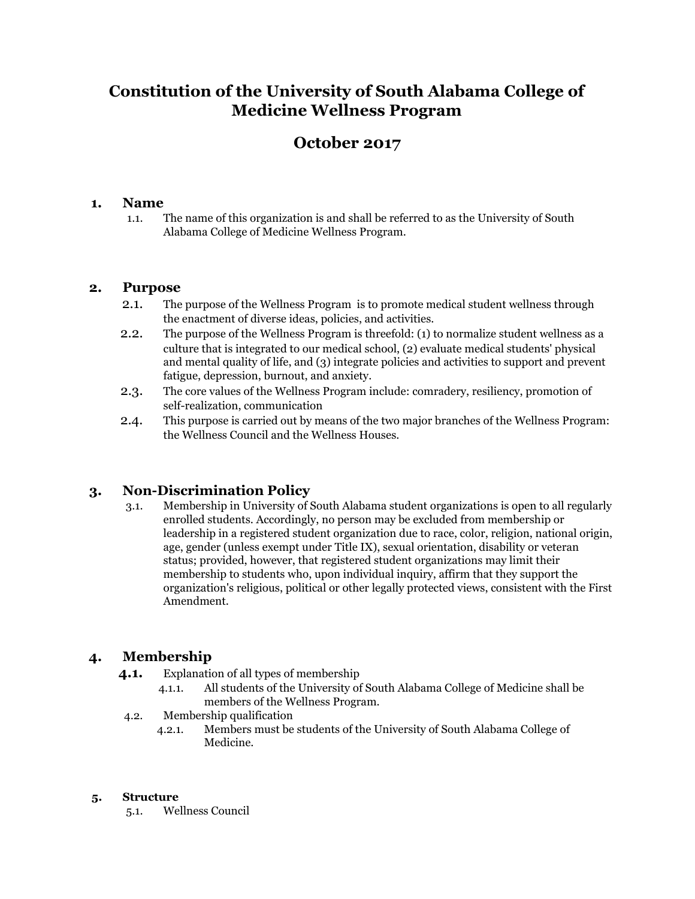# **Constitution of the University of South Alabama College of Medicine Wellness Program**

# **October 2017**

## **1. Name**

 1.1. The name of this organization is and shall be referred to as the University of South Alabama College of Medicine Wellness Program.

### **2. Purpose**

- 2.1. The purpose of the Wellness Program is to promote medical student wellness through the enactment of diverse ideas, policies, and activities.
- 2.2. The purpose of the Wellness Program is threefold: (1) to normalize student wellness as a culture that is integrated to our medical school, (2) evaluate medical students' physical and mental quality of life, and (3) integrate policies and activities to support and prevent fatigue, depression, burnout, and anxiety.
- 2.3. The core values of the Wellness Program include: comradery, resiliency, promotion of self-realization, communication
- 2.4. This purpose is carried out by means of the two major branches of the Wellness Program: the Wellness Council and the Wellness Houses.

# **3. Non-Discrimination Policy**

 3.1. Membership in University of South Alabama student organizations is open to all regularly enrolled students. Accordingly, no person may be excluded from membership or leadership in a registered student organization due to race, color, religion, national origin, age, gender (unless exempt under Title IX), sexual orientation, disability or veteran status; provided, however, that registered student organizations may limit their membership to students who, upon individual inquiry, affirm that they support the organization's religious, political or other legally protected views, consistent with the First Amendment.

# **4. Membership**

**4.1.** Explanation of all types of membership

- 4.1.1. All students of the University of South Alabama College of Medicine shall be members of the Wellness Program.
- 4.2. Membership qualification
	- 4.2.1. Members must be students of the University of South Alabama College of Medicine.

#### **5. Structure**

5.1. Wellness Council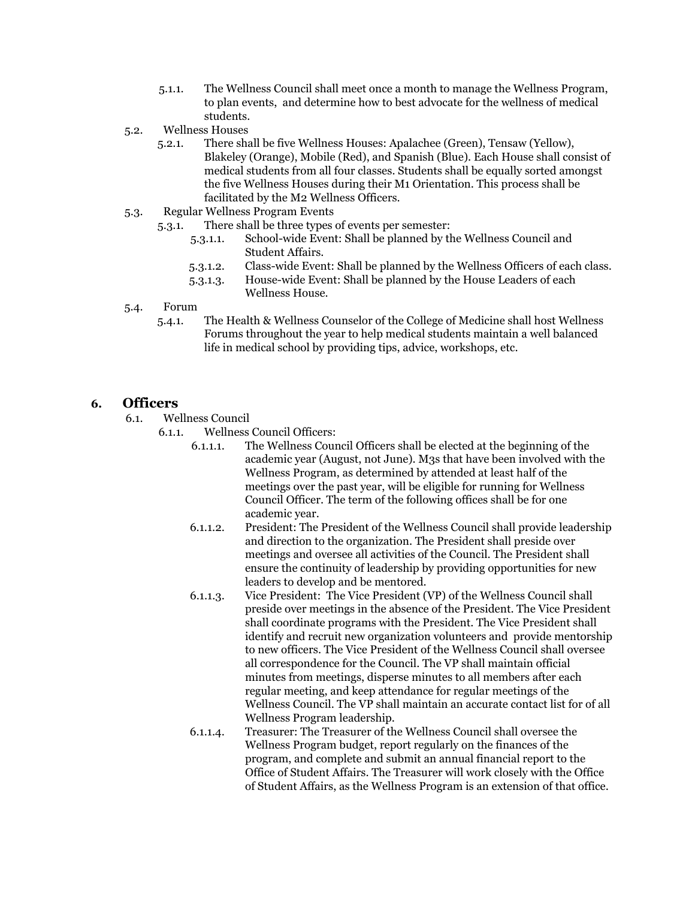- 5.1.1. The Wellness Council shall meet once a month to manage the Wellness Program, to plan events, and determine how to best advocate for the wellness of medical students.
- 5.2. Wellness Houses
	- 5.2.1. There shall be five Wellness Houses: Apalachee (Green), Tensaw (Yellow), Blakeley (Orange), Mobile (Red), and Spanish (Blue). Each House shall consist of medical students from all four classes. Students shall be equally sorted amongst the five Wellness Houses during their M1 Orientation. This process shall be facilitated by the M2 Wellness Officers.
- 5.3. Regular Wellness Program Events
	- 5.3.1. There shall be three types of events per semester:
		- 5.3.1.1. School-wide Event: Shall be planned by the Wellness Council and Student Affairs.
		- 5.3.1.2. Class-wide Event: Shall be planned by the Wellness Officers of each class.
		- 5.3.1.3. House-wide Event: Shall be planned by the House Leaders of each Wellness House.
- 5.4. Forum
	- 5.4.1. The Health & Wellness Counselor of the College of Medicine shall host Wellness Forums throughout the year to help medical students maintain a well balanced life in medical school by providing tips, advice, workshops, etc.

#### **6. Officers**

- 6.1. Wellness Council
	- 6.1.1. Wellness Council Officers:
		- 6.1.1.1. The Wellness Council Officers shall be elected at the beginning of the academic year (August, not June). M3s that have been involved with the Wellness Program, as determined by attended at least half of the meetings over the past year, will be eligible for running for Wellness Council Officer. The term of the following offices shall be for one academic year.
		- 6.1.1.2. President: The President of the Wellness Council shall provide leadership and direction to the organization. The President shall preside over meetings and oversee all activities of the Council. The President shall ensure the continuity of leadership by providing opportunities for new leaders to develop and be mentored.
		- 6.1.1.3. Vice President: The Vice President (VP) of the Wellness Council shall preside over meetings in the absence of the President. The Vice President shall coordinate programs with the President. The Vice President shall identify and recruit new organization volunteers and provide mentorship to new officers. The Vice President of the Wellness Council shall oversee all correspondence for the Council. The VP shall maintain official minutes from meetings, disperse minutes to all members after each regular meeting, and keep attendance for regular meetings of the Wellness Council. The VP shall maintain an accurate contact list for of all Wellness Program leadership.
		- 6.1.1.4. Treasurer: The Treasurer of the Wellness Council shall oversee the Wellness Program budget, report regularly on the finances of the program, and complete and submit an annual financial report to the Office of Student Affairs. The Treasurer will work closely with the Office of Student Affairs, as the Wellness Program is an extension of that office.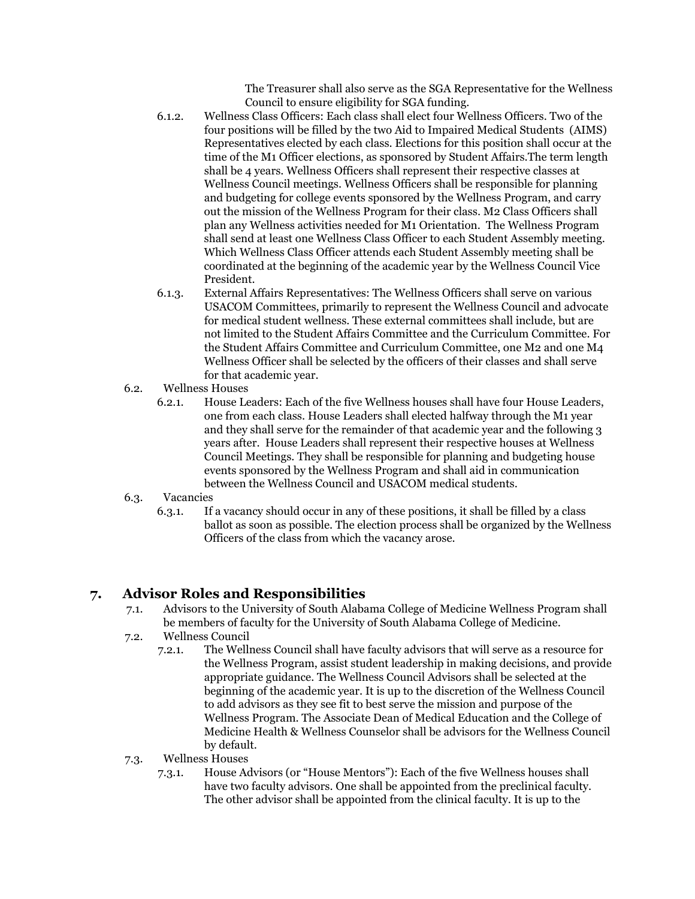The Treasurer shall also serve as the SGA Representative for the Wellness Council to ensure eligibility for SGA funding.

- 6.1.2. Wellness Class Officers: Each class shall elect four Wellness Officers. Two of the four positions will be filled by the two Aid to Impaired Medical Students (AIMS) Representatives elected by each class. Elections for this position shall occur at the time of the M1 Officer elections, as sponsored by Student Affairs.The term length shall be 4 years. Wellness Officers shall represent their respective classes at Wellness Council meetings. Wellness Officers shall be responsible for planning and budgeting for college events sponsored by the Wellness Program, and carry out the mission of the Wellness Program for their class. M2 Class Officers shall plan any Wellness activities needed for M1 Orientation. The Wellness Program shall send at least one Wellness Class Officer to each Student Assembly meeting. Which Wellness Class Officer attends each Student Assembly meeting shall be coordinated at the beginning of the academic year by the Wellness Council Vice President.
- 6.1.3. External Affairs Representatives: The Wellness Officers shall serve on various USACOM Committees, primarily to represent the Wellness Council and advocate for medical student wellness. These external committees shall include, but are not limited to the Student Affairs Committee and the Curriculum Committee. For the Student Affairs Committee and Curriculum Committee, one M2 and one M4 Wellness Officer shall be selected by the officers of their classes and shall serve for that academic year.
- 6.2. Wellness Houses
	- 6.2.1. House Leaders: Each of the five Wellness houses shall have four House Leaders, one from each class. House Leaders shall elected halfway through the M1 year and they shall serve for the remainder of that academic year and the following 3 years after. House Leaders shall represent their respective houses at Wellness Council Meetings. They shall be responsible for planning and budgeting house events sponsored by the Wellness Program and shall aid in communication between the Wellness Council and USACOM medical students.

#### 6.3. Vacancies

 6.3.1. If a vacancy should occur in any of these positions, it shall be filled by a class ballot as soon as possible. The election process shall be organized by the Wellness Officers of the class from which the vacancy arose.

# **7. Advisor Roles and Responsibilities**

- 7.1. Advisors to the University of South Alabama College of Medicine Wellness Program shall be members of faculty for the University of South Alabama College of Medicine.
- 7.2. Wellness Council
	- 7.2.1. The Wellness Council shall have faculty advisors that will serve as a resource for the Wellness Program, assist student leadership in making decisions, and provide appropriate guidance. The Wellness Council Advisors shall be selected at the beginning of the academic year. It is up to the discretion of the Wellness Council to add advisors as they see fit to best serve the mission and purpose of the Wellness Program. The Associate Dean of Medical Education and the College of Medicine Health & Wellness Counselor shall be advisors for the Wellness Council by default.
- 7.3. Wellness Houses
	- 7.3.1. House Advisors (or "House Mentors"): Each of the five Wellness houses shall have two faculty advisors. One shall be appointed from the preclinical faculty. The other advisor shall be appointed from the clinical faculty. It is up to the